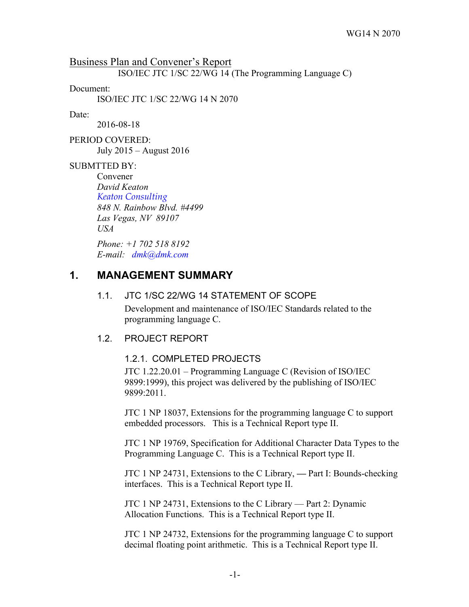Business Plan and Convener's Report ISO/IEC JTC 1/SC 22/WG 14 (The Programming Language C)

Document:

ISO/IEC JTC 1/SC 22/WG 14 N 2070

#### Date:

2016-08-18

PERIOD COVERED: July 2015 – August 2016

### SUBMTTED BY:

Convener *David Keaton Keaton Consulting 848 N. Rainbow Blvd. #4499 Las Vegas, NV 89107 USA*

*Phone: +1 702 518 8192 E-mail: dmk@dmk.com*

# **1. MANAGEMENT SUMMARY**

#### 1.1. JTC 1/SC 22/WG 14 STATEMENT OF SCOPE

Development and maintenance of ISO/IEC Standards related to the programming language C.

### 1.2. PROJECT REPORT

### 1.2.1. COMPLETED PROJECTS

JTC 1.22.20.01 – Programming Language C (Revision of ISO/IEC 9899:1999), this project was delivered by the publishing of ISO/IEC 9899:2011.

JTC 1 NP 18037, Extensions for the programming language C to support embedded processors. This is a Technical Report type II.

JTC 1 NP 19769, Specification for Additional Character Data Types to the Programming Language C. This is a Technical Report type II.

JTC 1 NP 24731, Extensions to the C Library, **—** Part I: Bounds-checking interfaces. This is a Technical Report type II.

JTC 1 NP 24731, Extensions to the C Library — Part 2: Dynamic Allocation Functions. This is a Technical Report type II.

JTC 1 NP 24732, Extensions for the programming language C to support decimal floating point arithmetic. This is a Technical Report type II.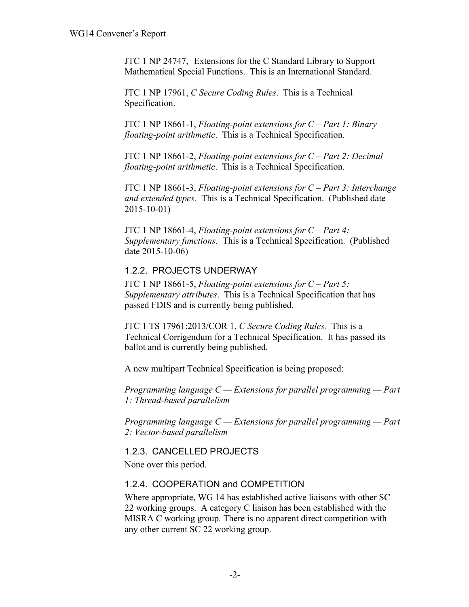JTC 1 NP 24747, Extensions for the C Standard Library to Support Mathematical Special Functions. This is an International Standard.

JTC 1 NP 17961, *C Secure Coding Rules*. This is a Technical Specification.

JTC 1 NP 18661-1, *Floating-point extensions for C – Part 1: Binary floating-point arithmetic*. This is a Technical Specification.

JTC 1 NP 18661-2, *Floating-point extensions for C – Part 2: Decimal floating-point arithmetic*. This is a Technical Specification.

JTC 1 NP 18661-3, *Floating-point extensions for C – Part 3: Interchange and extended types.* This is a Technical Specification. (Published date 2015-10-01)

JTC 1 NP 18661-4, *Floating-point extensions for C – Part 4: Supplementary functions.* This is a Technical Specification. (Published date 2015-10-06)

### 1.2.2. PROJECTS UNDERWAY

JTC 1 NP 18661-5, *Floating-point extensions for C – Part 5: Supplementary attributes*. This is a Technical Specification that has passed FDIS and is currently being published.

JTC 1 TS 17961:2013/COR 1, *C Secure Coding Rules.* This is a Technical Corrigendum for a Technical Specification. It has passed its ballot and is currently being published.

A new multipart Technical Specification is being proposed:

*Programming language C — Extensions for parallel programming — Part 1: Thread-based parallelism* 

*Programming language C — Extensions for parallel programming — Part 2: Vector-based parallelism* 

## 1.2.3. CANCELLED PROJECTS

None over this period.

### 1.2.4. COOPERATION and COMPETITION

Where appropriate, WG 14 has established active liaisons with other SC 22 working groups. A category C liaison has been established with the MISRA C working group. There is no apparent direct competition with any other current SC 22 working group.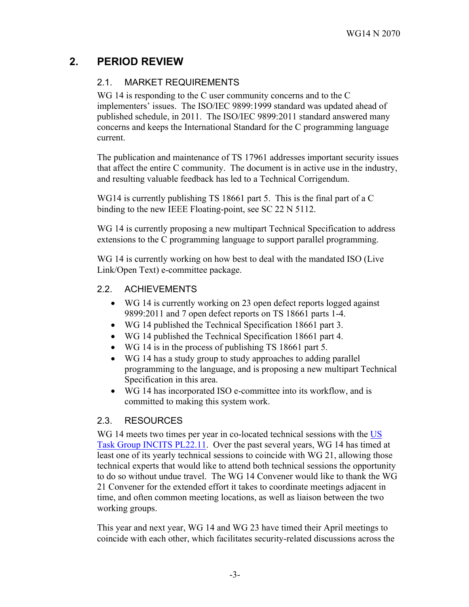# **2. PERIOD REVIEW**

### 2.1. MARKET REQUIREMENTS

WG 14 is responding to the C user community concerns and to the C implementers' issues. The ISO/IEC 9899:1999 standard was updated ahead of published schedule, in 2011. The ISO/IEC 9899:2011 standard answered many concerns and keeps the International Standard for the C programming language current.

The publication and maintenance of TS 17961 addresses important security issues that affect the entire C community. The document is in active use in the industry, and resulting valuable feedback has led to a Technical Corrigendum.

WG14 is currently publishing TS 18661 part 5. This is the final part of a C binding to the new IEEE Floating-point, see SC 22 N 5112.

WG 14 is currently proposing a new multipart Technical Specification to address extensions to the C programming language to support parallel programming.

WG 14 is currently working on how best to deal with the mandated ISO (Live Link/Open Text) e-committee package.

### 2.2. ACHIEVEMENTS

- WG 14 is currently working on 23 open defect reports logged against 9899:2011 and 7 open defect reports on TS 18661 parts 1-4.
- WG 14 published the Technical Specification 18661 part 3.
- WG 14 published the Technical Specification 18661 part 4.
- WG 14 is in the process of publishing TS 18661 part 5.
- WG 14 has a study group to study approaches to adding parallel programming to the language, and is proposing a new multipart Technical Specification in this area.
- WG 14 has incorporated ISO e-committee into its workflow, and is committed to making this system work.

## 2.3. RESOURCES

WG 14 meets two times per year in co-located technical sessions with the US Task Group INCITS PL22.11. Over the past several years, WG 14 has timed at least one of its yearly technical sessions to coincide with WG 21, allowing those technical experts that would like to attend both technical sessions the opportunity to do so without undue travel. The WG 14 Convener would like to thank the WG 21 Convener for the extended effort it takes to coordinate meetings adjacent in time, and often common meeting locations, as well as liaison between the two working groups.

This year and next year, WG 14 and WG 23 have timed their April meetings to coincide with each other, which facilitates security-related discussions across the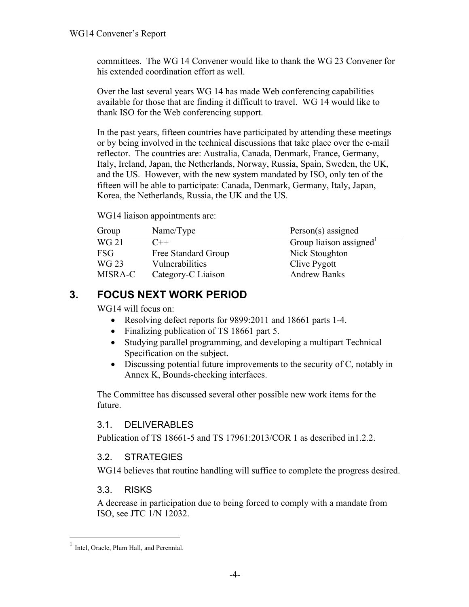committees. The WG 14 Convener would like to thank the WG 23 Convener for his extended coordination effort as well.

Over the last several years WG 14 has made Web conferencing capabilities available for those that are finding it difficult to travel. WG 14 would like to thank ISO for the Web conferencing support.

In the past years, fifteen countries have participated by attending these meetings or by being involved in the technical discussions that take place over the e-mail reflector. The countries are: Australia, Canada, Denmark, France, Germany, Italy, Ireland, Japan, the Netherlands, Norway, Russia, Spain, Sweden, the UK, and the US. However, with the new system mandated by ISO, only ten of the fifteen will be able to participate: Canada, Denmark, Germany, Italy, Japan, Korea, the Netherlands, Russia, the UK and the US.

WG14 liaison appointments are:

| Group      | Name/Type           | $Person(s)$ assigned   |
|------------|---------------------|------------------------|
| WG 21      | $C++$               | Group liaison assigned |
| <b>FSG</b> | Free Standard Group | Nick Stoughton         |
| WG 23      | Vulnerabilities     | Clive Pygott           |
| MISRA-C    | Category-C Liaison  | <b>Andrew Banks</b>    |

# **3. FOCUS NEXT WORK PERIOD**

WG14 will focus on:

- Resolving defect reports for 9899:2011 and 18661 parts 1-4.
- Finalizing publication of TS 18661 part 5.
- Studying parallel programming, and developing a multipart Technical Specification on the subject.
- Discussing potential future improvements to the security of C, notably in Annex K, Bounds-checking interfaces.

The Committee has discussed several other possible new work items for the future.

## 3.1. DELIVERABLES

Publication of TS 18661-5 and TS 17961:2013/COR 1 as described in1.2.2.

## 3.2. STRATEGIES

WG14 believes that routine handling will suffice to complete the progress desired.

## 3.3. RISKS

A decrease in participation due to being forced to comply with a mandate from ISO, see JTC 1/N 12032.

<sup>&</sup>lt;sup>1</sup> Intel, Oracle, Plum Hall, and Perennial.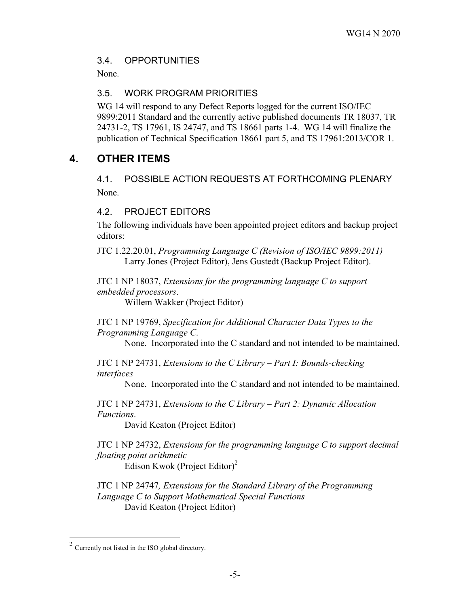### 3.4. OPPORTUNITIES

None.

### 3.5. WORK PROGRAM PRIORITIES

WG 14 will respond to any Defect Reports logged for the current ISO/IEC 9899:2011 Standard and the currently active published documents TR 18037, TR 24731-2, TS 17961, IS 24747, and TS 18661 parts 1-4. WG 14 will finalize the publication of Technical Specification 18661 part 5, and TS 17961:2013/COR 1.

# **4. OTHER ITEMS**

4.1. POSSIBLE ACTION REQUESTS AT FORTHCOMING PLENARY None.

### 4.2. PROJECT EDITORS

The following individuals have been appointed project editors and backup project editors:

JTC 1.22.20.01, *Programming Language C (Revision of ISO/IEC 9899:2011)* Larry Jones (Project Editor), Jens Gustedt (Backup Project Editor).

JTC 1 NP 18037, *Extensions for the programming language C to support embedded processors*.

Willem Wakker (Project Editor)

JTC 1 NP 19769, *Specification for Additional Character Data Types to the Programming Language C*.

None. Incorporated into the C standard and not intended to be maintained.

JTC 1 NP 24731, *Extensions to the C Library – Part I: Bounds-checking interfaces*

None. Incorporated into the C standard and not intended to be maintained.

JTC 1 NP 24731, *Extensions to the C Library – Part 2: Dynamic Allocation Functions*.

David Keaton (Project Editor)

JTC 1 NP 24732, *Extensions for the programming language C to support decimal floating point arithmetic*

Edison Kwok (Project Editor) 2

JTC 1 NP 24747*, Extensions for the Standard Library of the Programming Language C to Support Mathematical Special Functions* David Keaton (Project Editor)

 <sup>2</sup> Currently not listed in the ISO global directory.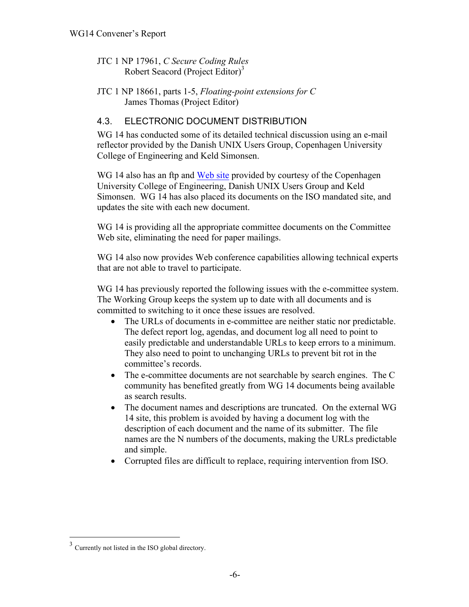- JTC 1 NP 17961, *C Secure Coding Rules* Robert Seacord (Project Editor)<sup>3</sup>
- JTC 1 NP 18661, parts 1-5, *Floating-point extensions for C* James Thomas (Project Editor)

## 4.3. ELECTRONIC DOCUMENT DISTRIBUTION

WG 14 has conducted some of its detailed technical discussion using an e-mail reflector provided by the Danish UNIX Users Group, Copenhagen University College of Engineering and Keld Simonsen.

WG 14 also has an ftp and Web site provided by courtesy of the Copenhagen University College of Engineering, Danish UNIX Users Group and Keld Simonsen. WG 14 has also placed its documents on the ISO mandated site, and updates the site with each new document.

WG 14 is providing all the appropriate committee documents on the Committee Web site, eliminating the need for paper mailings.

WG 14 also now provides Web conference capabilities allowing technical experts that are not able to travel to participate.

WG 14 has previously reported the following issues with the e-committee system. The Working Group keeps the system up to date with all documents and is committed to switching to it once these issues are resolved.

- The URLs of documents in e-committee are neither static nor predictable. The defect report log, agendas, and document log all need to point to easily predictable and understandable URLs to keep errors to a minimum. They also need to point to unchanging URLs to prevent bit rot in the committee's records.
- The e-committee documents are not searchable by search engines. The C community has benefited greatly from WG 14 documents being available as search results.
- The document names and descriptions are truncated. On the external WG 14 site, this problem is avoided by having a document log with the description of each document and the name of its submitter. The file names are the N numbers of the documents, making the URLs predictable and simple.
- Corrupted files are difficult to replace, requiring intervention from ISO.

 <sup>3</sup> Currently not listed in the ISO global directory.